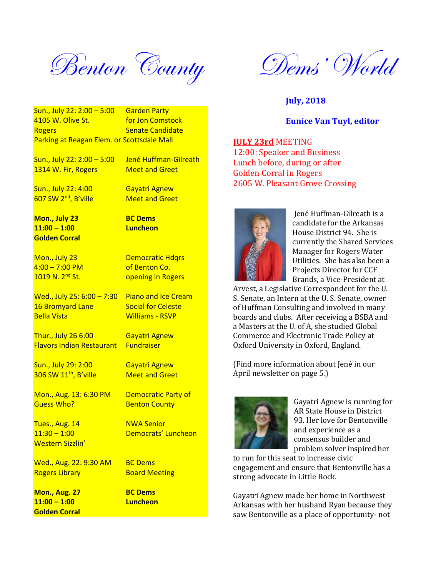Benton County Dems' World

Sun., July 22: 2:00 – 5:00 Garden Party 4105 W. Olive St. **For Jon Comstock** Rogers **Senate Candidate** Parking at Reagan Elem. or Scottsdale Mall

Sun., July 22: 2:00 – 5:00 Jené Huffman-Gilreath 1314 W. Fir, Rogers Meet and Greet

Sun., July 22: 4:00 Gayatri Agnew 607 SW 2<sup>nd</sup>, B'ville Meet and Greet

**Mon., July 23 BC Dems 11:00 – 1:00 Luncheon Golden Corral**

Mon., July 23 Democratic Hdqrs  $4:00 - 7:00$  PM of Benton Co.<br>1019 N. 2<sup>nd</sup> St. opening in Rog

Bella Vista Williams - RSVP

Thur., July 26 6:00 Gayatri Agnew Flavors Indian Restaurant Fundraiser

Sun., July 29: 2:00 Gayatri Agnew  $306$  SW  $11<sup>th</sup>$ , B'ville Meet and Greet

Mon., Aug. 13: 6:30 PM Democratic Party of Guess Who? Benton County

Tues., Aug. 14 NWA Senior Western Sizzlin'

Wed., Aug. 22: 9:30 AM BC Dems **Rogers Library Communist Contract Board Meeting** 

**Mon., Aug. 27 BC Dems 11:00 – 1:00 Luncheon Golden Corral**

opening in Rogers

Wed., July 25:  $6:00 - 7:30$  Piano and Ice Cream 16 Bromvard Lane Social for Celeste

11:30 – 1:00 Democrats' Luncheon

**July, 2018**

## **Eunice Van Tuyl, editor**

**JULY 23rd** MEETING

12:00: Speaker and Business Lunch before, during or after Golden Corral in Rogers 2605 W. Pleasant Grove Crossing



Jené Huffman-Gilreath is a candidate for the Arkansas House District 94. She is currently the Shared Services Manager for Rogers Water Utilities. She has also been a Projects Director for CCF Brands, a Vice-President at

Arvest, a Legislative Correspondent for the U. S. Senate, an Intern at the U. S. Senate, owner of Huffman Consulting and involved in many boards and clubs. After receiving a BSBA and a Masters at the U. of A, she studied Global Commerce and Electronic Trade Policy at Oxford University in Oxford, England.

(Find more information about Jené in our April newsletter on page 5.)



Gayatri Agnew is running for AR State House in District 93. Her love for Bentonville and experience as a consensus builder and problem solver inspired her

to run for this seat to increase civic engagement and ensure that Bentonville has a strong advocate in Little Rock.

Gayatri Agnew made her home in Northwest Arkansas with her husband Ryan because they saw Bentonville as a place of opportunity- not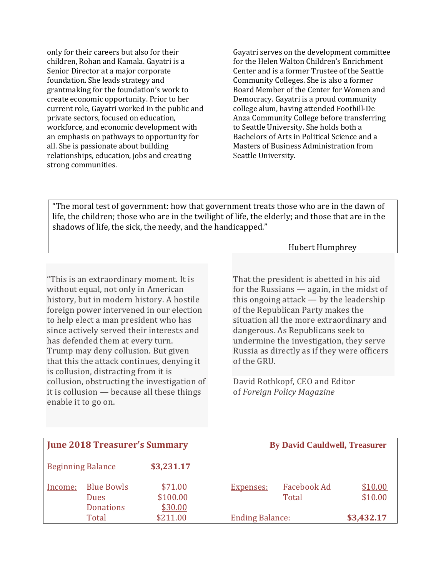only for their careers but also for their children, Rohan and Kamala. Gayatri is a Senior Director at a major corporate foundation. She leads strategy and grantmaking for the foundation's work to create economic opportunity. Prior to her current role, Gayatri worked in the public and private sectors, focused on education, workforce, and economic development with an emphasis on pathways to opportunity for all. She is passionate about building relationships, education, jobs and creating strong communities.

Gayatri serves on the development committee for the Helen Walton Children's Enrichment Center and is a former Trustee of the Seattle Community Colleges. She is also a former Board Member of the Center for Women and Democracy. Gayatri is a proud community college alum, having attended Foothill-De Anza Community College before transferring to Seattle University. She holds both a Bachelors of Arts in Political Science and a Masters of Business Administration from Seattle University.

"The moral test of government: how that government treats those who are in the dawn of life, the children; those who are in the twilight of life, the elderly; and those that are in the shadows of life, the sick, the needy, and the handicapped."

"This is an extraordinary moment. It is without equal, not only in American history, but in modern history. A hostile foreign power intervened in our election to help elect a man president who has since actively served their interests and has defended them at every turn. Trump may deny collusion. But given that this the attack continues, denying it is collusion, distracting from it is collusion, obstructing the investigation of it is collusion — because all these things enable it to go on.

Hubert Humphrey

That the president is abetted in his aid for the Russians — again, in the midst of this ongoing attack — by the leadership of the Republican Party makes the situation all the more extraordinary and dangerous. As Republicans seek to undermine the investigation, they serve Russia as directly as if they were officers of the GRU.

David Rothkopf, CEO and Editor of *Foreign Policy Magazine*

| <b>June 2018 Treasurer's Summary</b> |                                                      |                                | <b>By David Cauldwell, Treasurer</b> |                        |                    |
|--------------------------------------|------------------------------------------------------|--------------------------------|--------------------------------------|------------------------|--------------------|
|                                      | <b>Beginning Balance</b>                             | \$3,231.17                     |                                      |                        |                    |
| Income:                              | <b>Blue Bowls</b><br><b>Dues</b><br><b>Donations</b> | \$71.00<br>\$100.00<br>\$30.00 | <b>Expenses:</b>                     | Facebook Ad<br>Total   | \$10.00<br>\$10.00 |
|                                      | Total                                                | \$211.00                       |                                      | <b>Ending Balance:</b> |                    |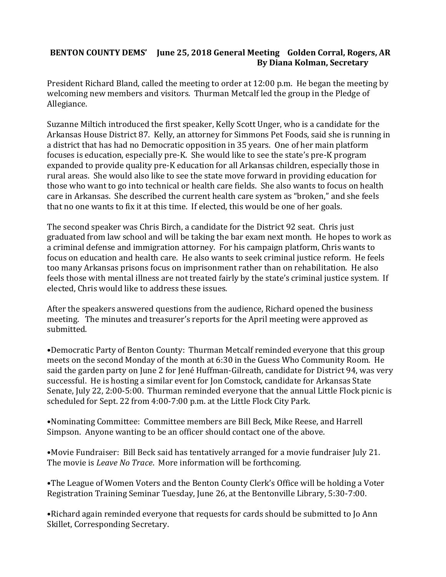# **BENTON COUNTY DEMS' June 25, 2018 General Meeting Golden Corral, Rogers, AR By Diana Kolman, Secretary**

President Richard Bland, called the meeting to order at 12:00 p.m. He began the meeting by welcoming new members and visitors. Thurman Metcalf led the group in the Pledge of Allegiance.

Suzanne Miltich introduced the first speaker, Kelly Scott Unger, who is a candidate for the Arkansas House District 87. Kelly, an attorney for Simmons Pet Foods, said she is running in a district that has had no Democratic opposition in 35 years. One of her main platform focuses is education, especially pre-K. She would like to see the state's pre-K program expanded to provide quality pre-K education for all Arkansas children, especially those in rural areas. She would also like to see the state move forward in providing education for those who want to go into technical or health care fields. She also wants to focus on health care in Arkansas. She described the current health care system as "broken," and she feels that no one wants to fix it at this time. If elected, this would be one of her goals.

The second speaker was Chris Birch, a candidate for the District 92 seat. Chris just graduated from law school and will be taking the bar exam next month. He hopes to work as a criminal defense and immigration attorney. For his campaign platform, Chris wants to focus on education and health care. He also wants to seek criminal justice reform. He feels too many Arkansas prisons focus on imprisonment rather than on rehabilitation. He also feels those with mental illness are not treated fairly by the state's criminal justice system. If elected, Chris would like to address these issues.

After the speakers answered questions from the audience, Richard opened the business meeting. The minutes and treasurer's reports for the April meeting were approved as submitted.

•Democratic Party of Benton County: Thurman Metcalf reminded everyone that this group meets on the second Monday of the month at 6:30 in the Guess Who Community Room. He said the garden party on June 2 for Jené Huffman-Gilreath, candidate for District 94, was very successful. He is hosting a similar event for Jon Comstock, candidate for Arkansas State Senate, July 22, 2:00-5:00. Thurman reminded everyone that the annual Little Flock picnic is scheduled for Sept. 22 from 4:00-7:00 p.m. at the Little Flock City Park.

•Nominating Committee: Committee members are Bill Beck, Mike Reese, and Harrell Simpson. Anyone wanting to be an officer should contact one of the above.

•Movie Fundraiser: Bill Beck said has tentatively arranged for a movie fundraiser July 21. The movie is *Leave No Trace*. More information will be forthcoming.

•The League of Women Voters and the Benton County Clerk's Office will be holding a Voter Registration Training Seminar Tuesday, June 26, at the Bentonville Library, 5:30-7:00.

•Richard again reminded everyone that requests for cards should be submitted to Jo Ann Skillet, Corresponding Secretary.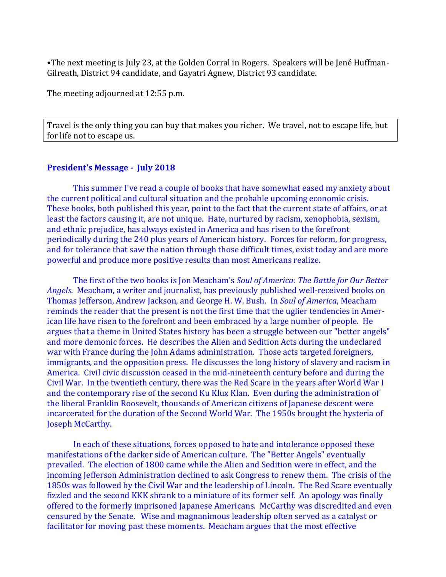•The next meeting is July 23, at the Golden Corral in Rogers. Speakers will be Jené Huffman-Gilreath, District 94 candidate, and Gayatri Agnew, District 93 candidate.

The meeting adjourned at 12:55 p.m.

Travel is the only thing you can buy that makes you richer. We travel, not to escape life, but for life not to escape us.

#### **President's Message - July 2018**

This summer I've read a couple of books that have somewhat eased my anxiety about the current political and cultural situation and the probable upcoming economic crisis. These books, both published this year, point to the fact that the current state of affairs, or at least the factors causing it, are not unique. Hate, nurtured by racism, xenophobia, sexism, and ethnic prejudice, has always existed in America and has risen to the forefront periodically during the 240 plus years of American history. Forces for reform, for progress, and for tolerance that saw the nation through those difficult times, exist today and are more powerful and produce more positive results than most Americans realize.

The first of the two books is Jon Meacham's *Soul of America: The Battle for Our Better Angels*. Meacham, a writer and journalist, has previously published well-received books on Thomas Jefferson, Andrew Jackson, and George H. W. Bush. In *Soul of America*, Meacham reminds the reader that the present is not the first time that the uglier tendencies in American life have risen to the forefront and been embraced by a large number of people. He argues that a theme in United States history has been a struggle between our "better angels" and more demonic forces. He describes the Alien and Sedition Acts during the undeclared war with France during the John Adams administration. Those acts targeted foreigners, immigrants, and the opposition press. He discusses the long history of slavery and racism in America. Civil civic discussion ceased in the mid-nineteenth century before and during the Civil War. In the twentieth century, there was the Red Scare in the years after World War I and the contemporary rise of the second Ku Klux Klan. Even during the administration of the liberal Franklin Roosevelt, thousands of American citizens of Japanese descent were incarcerated for the duration of the Second World War. The 1950s brought the hysteria of Joseph McCarthy.

In each of these situations, forces opposed to hate and intolerance opposed these manifestations of the darker side of American culture. The "Better Angels" eventually prevailed. The election of 1800 came while the Alien and Sedition were in effect, and the incoming Jefferson Administration declined to ask Congress to renew them. The crisis of the 1850s was followed by the Civil War and the leadership of Lincoln. The Red Scare eventually fizzled and the second KKK shrank to a miniature of its former self. An apology was finally offered to the formerly imprisoned Japanese Americans. McCarthy was discredited and even censured by the Senate. Wise and magnanimous leadership often served as a catalyst or facilitator for moving past these moments. Meacham argues that the most effective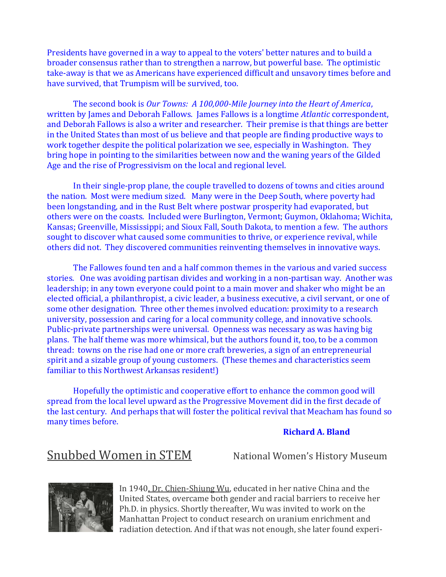Presidents have governed in a way to appeal to the voters' better natures and to build a broader consensus rather than to strengthen a narrow, but powerful base. The optimistic take-away is that we as Americans have experienced difficult and unsavory times before and have survived, that Trumpism will be survived, too.

The second book is *Our Towns: A 100,000-Mile Journey into the Heart of America*, written by James and Deborah Fallows. James Fallows is a longtime *Atlantic* correspondent, and Deborah Fallows is also a writer and researcher. Their premise is that things are better in the United States than most of us believe and that people are finding productive ways to work together despite the political polarization we see, especially in Washington. They bring hope in pointing to the similarities between now and the waning years of the Gilded Age and the rise of Progressivism on the local and regional level.

In their single-prop plane, the couple travelled to dozens of towns and cities around the nation. Most were medium sized. Many were in the Deep South, where poverty had been longstanding, and in the Rust Belt where postwar prosperity had evaporated, but others were on the coasts. Included were Burlington, Vermont; Guymon, Oklahoma; Wichita, Kansas; Greenville, Mississippi; and Sioux Fall, South Dakota, to mention a few. The authors sought to discover what caused some communities to thrive, or experience revival, while others did not. They discovered communities reinventing themselves in innovative ways.

The Fallowes found ten and a half common themes in the various and varied success stories. One was avoiding partisan divides and working in a non-partisan way. Another was leadership; in any town everyone could point to a main mover and shaker who might be an elected official, a philanthropist, a civic leader, a business executive, a civil servant, or one of some other designation. Three other themes involved education: proximity to a research university, possession and caring for a local community college, and innovative schools. Public-private partnerships were universal. Openness was necessary as was having big plans. The half theme was more whimsical, but the authors found it, too, to be a common thread: towns on the rise had one or more craft breweries, a sign of an entrepreneurial spirit and a sizable group of young customers. (These themes and characteristics seem familiar to this Northwest Arkansas resident!)

Hopefully the optimistic and cooperative effort to enhance the common good will spread from the local level upward as the Progressive Movement did in the first decade of the last century. And perhaps that will foster the political revival that Meacham has found so many times before.

### **Richard A. Bland**

Snubbed Women in STEM National Women's History Museum



In 1940, Dr. Chien-Shiung Wu, educated in her native China and the United States, overcame both gender and racial barriers to receive her Ph.D. in physics. Shortly thereafter, Wu was invited to work on the Manhattan Project to conduct research on uranium enrichment and radiation detection. And if that was not enough, she later found experi-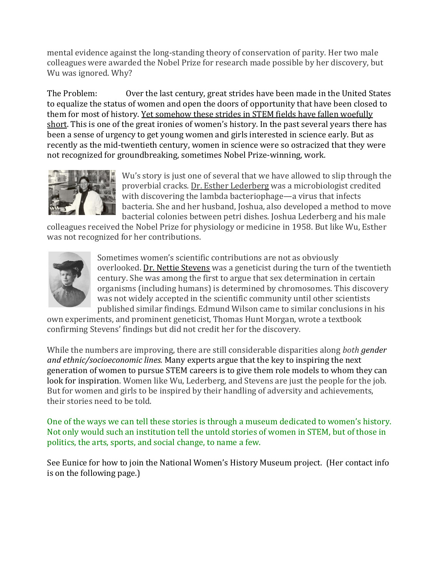mental evidence against the long-standing theory of conservation of parity. Her two male colleagues were awarded the Nobel Prize for research made possible by her discovery, but Wu was ignored. Why?

The Problem: Over the last century, great strides have been made in the United States to equalize the status of women and open the doors of opportunity that have been closed to them for most of history. [Yet somehow these strides in STEM fields have fallen woefully](http://www.aauw.org/research/why-so-few/)  [short](http://www.aauw.org/research/why-so-few/). This is one of the great ironies of women's history. In the past several years there has been a sense of urgency to get young women and girls interested in science early. But as recently as the mid-twentieth century, women in science were so ostracized that they were not recognized for groundbreaking, sometimes Nobel Prize-winning, work.



Wu's story is just one of several that we have allowed to slip through the proverbial cracks. Dr. Esther Lederberg was a microbiologist credited with discovering the lambda bacteriophage—a virus that infects bacteria. She and her husband, Joshua, also developed a method to move bacterial colonies between petri dishes. Joshua Lederberg and his male

colleagues received the Nobel Prize for physiology or medicine in 1958. But like Wu, Esther was not recognized for her contributions.



Sometimes women's scientific contributions are not as obviously overlooked. [Dr. Nettie Stevens](http://www.nature.com/scitable/topicpage/nettie-stevens-a-discoverer-of-sex-chromosomes-6580266) was a geneticist during the turn of the twentieth century. She was among the first to argue that sex determination in certain organisms (including humans) is determined by chromosomes. This discovery was not widely accepted in the scientific community until other scientists published similar findings. Edmund Wilson came to similar conclusions in his

own experiments, and prominent geneticist, Thomas Hunt Morgan, wrote a textbook confirming Stevens' findings but did not credit her for the discovery.

While the numbers are improving, there are still considerable disparities along *both [gender](https://ngcproject.org/statistics)  [and ethnic/socioeconomic lines.](https://ngcproject.org/statistics)* [Many experts argue that the key to inspiring the next](http://www.fromthelabbench.com/from-the-lab-bench-science-blog/2015/7/13/lf8auqx94untl3ukw58r2yj15p3f73)  [generation of women to pursue STEM careers is to give them role models to whom they can](http://www.fromthelabbench.com/from-the-lab-bench-science-blog/2015/7/13/lf8auqx94untl3ukw58r2yj15p3f73)  [look for inspiration.](http://www.fromthelabbench.com/from-the-lab-bench-science-blog/2015/7/13/lf8auqx94untl3ukw58r2yj15p3f73) Women like Wu, Lederberg, and Stevens are just the people for the job. But for women and girls to be inspired by their handling of adversity and achievements, their stories need to be told.

One of the ways we can tell these stories is through a museum dedicated to women's history. Not only would such an institution tell the untold stories of women in STEM, but of those in politics, the arts, sports, and social change, to name a few.

See Eunice for how to join the National Women's History Museum project. (Her contact info is on the following page.)